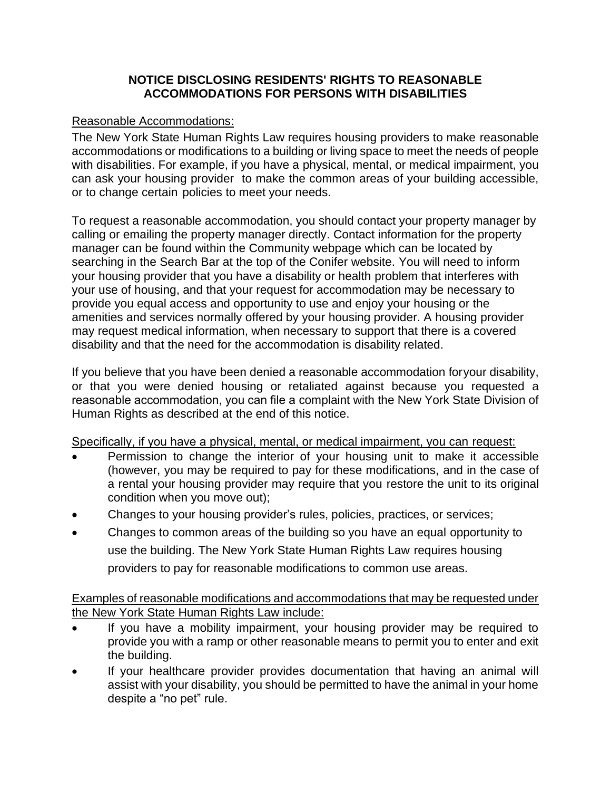## **NOTICE DISCLOSING RESIDENTS' RIGHTS TO REASONABLE ACCOMMODATIONS FOR PERSONS WITH DISABILITIES**

## Reasonable Accommodations:

The New York State Human Rights Law requires housing providers to make reasonable accommodations or modifications to a building or living space to meet the needs of people with disabilities. For example, if you have a physical, mental, or medical impairment, you can ask your housing provider to make the common areas of your building accessible, or to change certain policies to meet your needs.

To request a reasonable accommodation, you should contact your property manager by calling or emailing the property manager directly. Contact information for the property manager can be found within the Community webpage which can be located by searching in the Search Bar at the top of the Conifer website. You will need to inform your housing provider that you have a disability or health problem that interferes with your use of housing, and that your request for accommodation may be necessary to provide you equal access and opportunity to use and enjoy your housing or the amenities and services normally offered by your housing provider. A housing provider may request medical information, when necessary to support that there is a covered disability and that the need for the accommodation is disability related.

If you believe that you have been denied a reasonable accommodation foryour disability, or that you were denied housing or retaliated against because you requested a reasonable accommodation, you can file a complaint with the New York State Division of Human Rights as described at the end of this notice.

Specifically, if you have a physical, mental, or medical impairment, you can request:

- Permission to change the interior of your housing unit to make it accessible (however, you may be required to pay for these modifications, and in the case of a rental your housing provider may require that you restore the unit to its original condition when you move out);
- Changes to your housing provider's rules, policies, practices, or services;
- Changes to common areas of the building so you have an equal opportunity to use the building. The New York State Human Rights Law requires housing providers to pay for reasonable modifications to common use areas.

Examples of reasonable modifications and accommodations that may be requested under the New York State Human Rights Law include:

- If you have a mobility impairment, your housing provider may be required to provide you with a ramp or other reasonable means to permit you to enter and exit the building.
- If your healthcare provider provides documentation that having an animal will assist with your disability, you should be permitted to have the animal in your home despite a "no pet" rule.